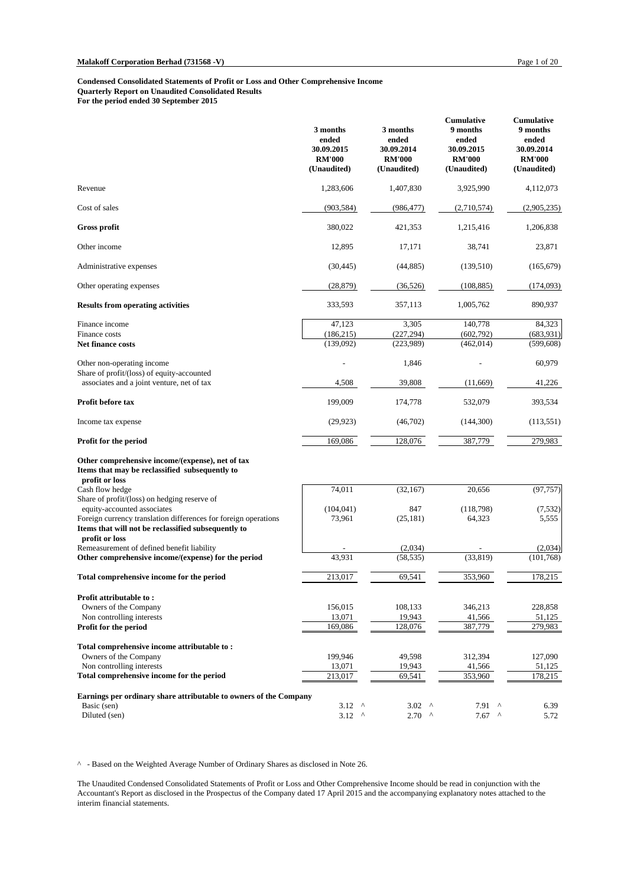#### **Condensed Consolidated Statements of Profit or Loss and Other Comprehensive Income Quarterly Report on Unaudited Consolidated Results**

**For the period ended 30 September 2015**

|                                                                                                                        | 3 months<br>ended<br>30.09.2015<br><b>RM'000</b><br>(Unaudited) | 3 months<br>ended<br>30.09.2014<br><b>RM'000</b><br>(Unaudited) | <b>Cumulative</b><br>9 months<br>ended<br>30.09.2015<br><b>RM'000</b><br>(Unaudited) | <b>Cumulative</b><br>9 months<br>ended<br>30.09.2014<br><b>RM'000</b><br>(Unaudited) |
|------------------------------------------------------------------------------------------------------------------------|-----------------------------------------------------------------|-----------------------------------------------------------------|--------------------------------------------------------------------------------------|--------------------------------------------------------------------------------------|
| Revenue                                                                                                                | 1,283,606                                                       | 1,407,830                                                       | 3,925,990                                                                            | 4,112,073                                                                            |
| Cost of sales                                                                                                          | (903, 584)                                                      | (986, 477)                                                      | (2,710,574)                                                                          | (2,905,235)                                                                          |
| Gross profit                                                                                                           | 380,022                                                         | 421,353                                                         | 1,215,416                                                                            | 1,206,838                                                                            |
| Other income                                                                                                           | 12,895                                                          | 17,171                                                          | 38,741                                                                               | 23,871                                                                               |
| Administrative expenses                                                                                                | (30, 445)                                                       | (44, 885)                                                       | (139,510)                                                                            | (165, 679)                                                                           |
| Other operating expenses                                                                                               | (28, 879)                                                       | (36, 526)                                                       | (108, 885)                                                                           | (174,093)                                                                            |
| <b>Results from operating activities</b>                                                                               | 333,593                                                         | 357,113                                                         | 1,005,762                                                                            | 890,937                                                                              |
| Finance income                                                                                                         | 47,123                                                          | 3,305                                                           | 140,778                                                                              | 84,323                                                                               |
| Finance costs                                                                                                          | (186,215)                                                       | (227, 294)                                                      | (602,792)                                                                            | (683, 931)                                                                           |
| <b>Net finance costs</b>                                                                                               | (139,092)                                                       | (223,989)                                                       | (462, 014)                                                                           | (599, 608)                                                                           |
| Other non-operating income                                                                                             |                                                                 | 1,846                                                           |                                                                                      | 60,979                                                                               |
| Share of profit/(loss) of equity-accounted<br>associates and a joint venture, net of tax                               | 4,508                                                           | 39,808                                                          | (11,669)                                                                             | 41,226                                                                               |
| Profit before tax                                                                                                      | 199,009                                                         | 174,778                                                         | 532,079                                                                              | 393,534                                                                              |
| Income tax expense                                                                                                     | (29, 923)                                                       | (46,702)                                                        | (144,300)                                                                            | (113, 551)                                                                           |
| Profit for the period                                                                                                  | 169,086                                                         | 128,076                                                         | 387,779                                                                              | 279,983                                                                              |
| Other comprehensive income/(expense), net of tax<br>Items that may be reclassified subsequently to<br>profit or loss   |                                                                 |                                                                 |                                                                                      |                                                                                      |
| Cash flow hedge                                                                                                        | 74,011                                                          | (32, 167)                                                       | 20,656                                                                               | (97, 757)                                                                            |
| Share of profit/(loss) on hedging reserve of                                                                           |                                                                 |                                                                 |                                                                                      |                                                                                      |
| equity-accounted associates                                                                                            | (104, 041)                                                      | 847                                                             | (118,798)                                                                            | (7, 532)                                                                             |
| Foreign currency translation differences for foreign operations<br>Items that will not be reclassified subsequently to | 73,961                                                          | (25, 181)                                                       | 64,323                                                                               | 5,555                                                                                |
| profit or loss<br>Remeasurement of defined benefit liability                                                           |                                                                 | (2,034)                                                         |                                                                                      | (2,034)                                                                              |
| Other comprehensive income/(expense) for the period                                                                    | 43,931                                                          | (58, 535)                                                       | (33, 819)                                                                            | (101,768)                                                                            |
| Total comprehensive income for the period                                                                              | 213,017                                                         | 69,541                                                          | 353,960                                                                              | 178,215                                                                              |
|                                                                                                                        |                                                                 |                                                                 |                                                                                      |                                                                                      |
| Profit attributable to:                                                                                                |                                                                 |                                                                 |                                                                                      |                                                                                      |
| Owners of the Company<br>Non controlling interests                                                                     | 156,015<br>13,071                                               | 108,133<br>19,943                                               | 346,213<br>41,566                                                                    | 228,858<br>51,125                                                                    |
| Profit for the period                                                                                                  | 169,086                                                         | 128,076                                                         | 387,779                                                                              | 279,983                                                                              |
|                                                                                                                        |                                                                 |                                                                 |                                                                                      |                                                                                      |
| Total comprehensive income attributable to:<br>Owners of the Company                                                   | 199,946                                                         | 49,598                                                          | 312,394                                                                              | 127,090                                                                              |
| Non controlling interests                                                                                              | 13,071                                                          | 19,943                                                          | 41,566                                                                               | 51,125                                                                               |
| Total comprehensive income for the period                                                                              | 213,017                                                         | 69,541                                                          | 353,960                                                                              | 178,215                                                                              |
|                                                                                                                        |                                                                 |                                                                 |                                                                                      |                                                                                      |
| Earnings per ordinary share attributable to owners of the Company                                                      |                                                                 |                                                                 |                                                                                      |                                                                                      |
| Basic (sen)                                                                                                            | $3.12$ ^<br>$3.12$ ^                                            | $3.02$ ^                                                        | 7.91<br>$\Lambda$<br>$\lambda$                                                       | 6.39                                                                                 |
| Diluted (sen)                                                                                                          |                                                                 | $2.70$ ^                                                        | 7.67                                                                                 | 5.72                                                                                 |

^ - Based on the Weighted Average Number of Ordinary Shares as disclosed in Note 26.

The Unaudited Condensed Consolidated Statements of Profit or Loss and Other Comprehensive Income should be read in conjunction with the Accountant's Report as disclosed in the Prospectus of the Company dated 17 April 2015 and the accompanying explanatory notes attached to the interim financial statements.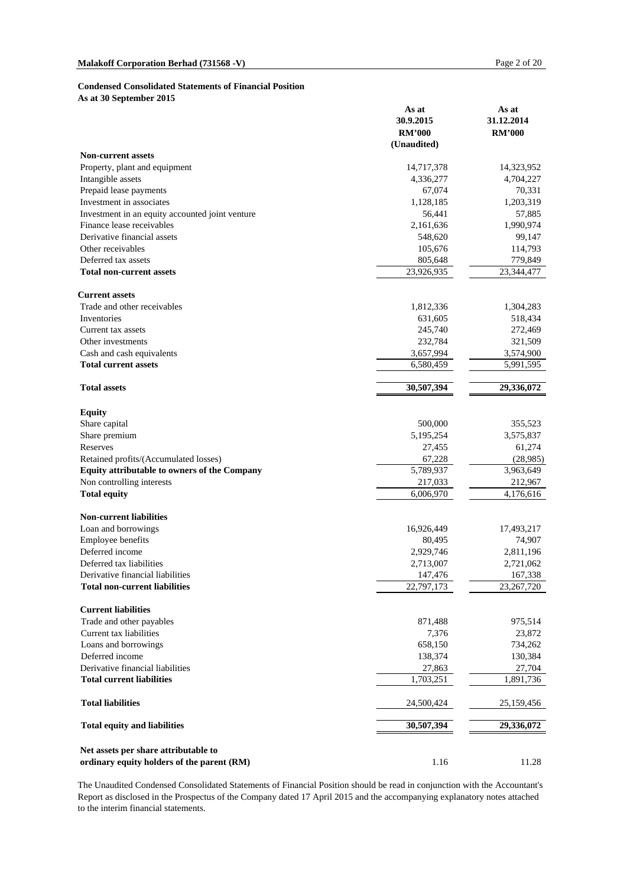#### **Condensed Consolidated Statements of Financial Position**

**As at 30 September 2015**

|                                                                                    | As at<br>30.9.2015<br><b>RM'000</b><br>(Unaudited) | As at<br>31.12.2014<br><b>RM'000</b> |
|------------------------------------------------------------------------------------|----------------------------------------------------|--------------------------------------|
| <b>Non-current assets</b>                                                          |                                                    |                                      |
| Property, plant and equipment                                                      | 14,717,378                                         | 14,323,952                           |
| Intangible assets                                                                  | 4,336,277                                          | 4,704,227                            |
| Prepaid lease payments                                                             | 67,074                                             | 70,331                               |
| Investment in associates                                                           | 1,128,185                                          | 1,203,319                            |
| Investment in an equity accounted joint venture                                    | 56,441                                             | 57,885                               |
| Finance lease receivables                                                          | 2,161,636                                          | 1,990,974                            |
| Derivative financial assets                                                        | 548,620                                            | 99,147                               |
| Other receivables                                                                  | 105,676                                            | 114,793                              |
| Deferred tax assets                                                                | 805,648                                            | 779,849                              |
| <b>Total non-current assets</b>                                                    | 23,926,935                                         | 23,344,477                           |
| <b>Current assets</b>                                                              |                                                    |                                      |
| Trade and other receivables                                                        | 1,812,336                                          | 1,304,283                            |
| Inventories                                                                        | 631,605                                            | 518,434                              |
| Current tax assets                                                                 | 245,740                                            | 272,469                              |
| Other investments                                                                  | 232,784                                            | 321,509                              |
| Cash and cash equivalents                                                          | 3,657,994                                          | 3,574,900                            |
| <b>Total current assets</b>                                                        | 6,580,459                                          | 5,991,595                            |
| <b>Total assets</b>                                                                | 30,507,394                                         | 29,336,072                           |
| <b>Equity</b>                                                                      |                                                    |                                      |
| Share capital                                                                      | 500,000                                            | 355,523                              |
| Share premium                                                                      | 5,195,254                                          | 3,575,837                            |
| Reserves                                                                           | 27,455                                             | 61,274                               |
| Retained profits/(Accumulated losses)                                              | 67,228                                             | (28,985)                             |
| Equity attributable to owners of the Company                                       | 5,789,937                                          | 3,963,649                            |
| Non controlling interests                                                          | 217,033                                            | 212,967                              |
| <b>Total equity</b>                                                                | 6,006,970                                          | 4,176,616                            |
| <b>Non-current liabilities</b>                                                     |                                                    |                                      |
| Loan and borrowings                                                                | 16,926,449                                         | 17,493,217                           |
| Employee benefits                                                                  | 80,495                                             | 74,907                               |
| Deferred income                                                                    | 2,929,746                                          | 2,811,196                            |
| Deferred tax liabilities                                                           | 2,713,007                                          | 2,721,062                            |
| Derivative financial liabilities                                                   | 147,476                                            | 167,338                              |
| <b>Total non-current liabilities</b>                                               | 22,797,173                                         | 23, 267, 720                         |
| <b>Current liabilities</b>                                                         |                                                    |                                      |
| Trade and other payables                                                           | 871,488                                            | 975,514                              |
| Current tax liabilities                                                            | 7,376                                              | 23,872                               |
| Loans and borrowings                                                               | 658,150                                            | 734,262                              |
| Deferred income                                                                    | 138,374                                            | 130,384                              |
| Derivative financial liabilities                                                   | 27,863                                             | 27,704                               |
| <b>Total current liabilities</b>                                                   | 1,703,251                                          | 1,891,736                            |
| <b>Total liabilities</b>                                                           | 24,500,424                                         | 25,159,456                           |
| <b>Total equity and liabilities</b>                                                | 30,507,394                                         | 29,336,072                           |
| Net assets per share attributable to<br>ordinary equity holders of the parent (RM) | 1.16                                               | 11.28                                |

The Unaudited Condensed Consolidated Statements of Financial Position should be read in conjunction with the Accountant's Report as disclosed in the Prospectus of the Company dated 17 April 2015 and the accompanying explanatory notes attached to the interim financial statements.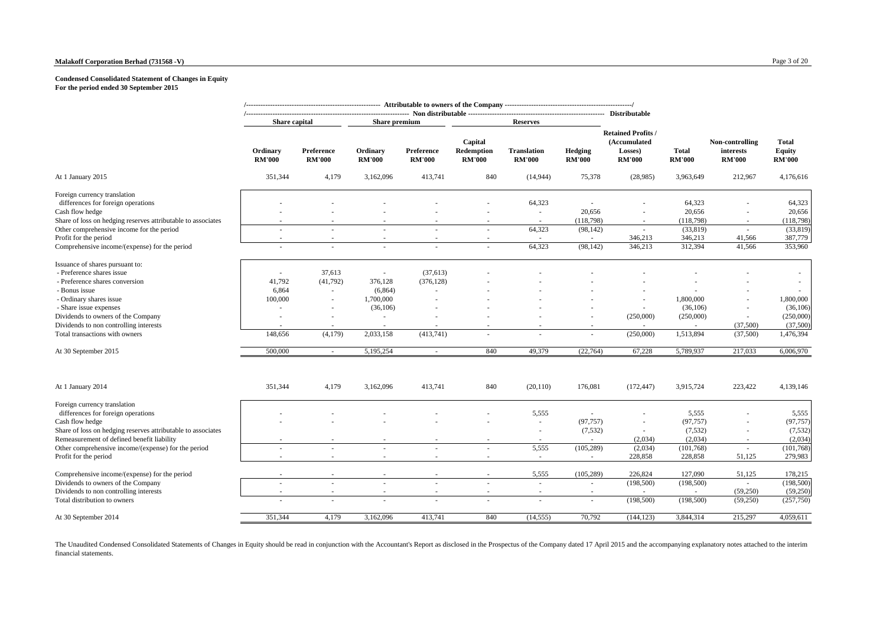#### **Malakoff Corporation Berhad (731568 -V)** Page 3 of 20

#### **Condensed Consolidated Statement of Changes in Equity For the period ended 30 September 2015**

|                                                                                                                                                       | Share capital             |                             | <b>Share premium</b>                |                             |                                        | <b>Reserves</b>                     |                                 |                                                                       |                               |                                               |                                                |
|-------------------------------------------------------------------------------------------------------------------------------------------------------|---------------------------|-----------------------------|-------------------------------------|-----------------------------|----------------------------------------|-------------------------------------|---------------------------------|-----------------------------------------------------------------------|-------------------------------|-----------------------------------------------|------------------------------------------------|
|                                                                                                                                                       | Ordinary<br><b>RM'000</b> | Preference<br><b>RM'000</b> | Ordinary<br><b>RM'000</b>           | Preference<br><b>RM'000</b> | Capital<br>Redemption<br><b>RM'000</b> | <b>Translation</b><br><b>RM'000</b> | <b>Hedging</b><br><b>RM'000</b> | <b>Retained Profits /</b><br>(Accumulated<br>Losses)<br><b>RM'000</b> | <b>Total</b><br><b>RM'000</b> | Non-controlling<br>interests<br><b>RM'000</b> | <b>Total</b><br><b>Equity</b><br><b>RM'000</b> |
| At 1 January 2015                                                                                                                                     | 351,344                   | 4,179                       | 3,162,096                           | 413,741                     | 840                                    | (14, 944)                           | 75,378                          | (28,985)                                                              | 3,963,649                     | 212,967                                       | 4,176,616                                      |
| Foreign currency translation<br>differences for foreign operations<br>Cash flow hedge<br>Share of loss on hedging reserves attributable to associates |                           |                             |                                     |                             |                                        | 64,323<br>$\sim$                    | 20,656<br>(118,798)             | $\sim$<br>$\sim$                                                      | 64,323<br>20,656<br>(118,798) | $\sim$<br>$\sim$                              | 64,323<br>20,656<br>(118,798)                  |
| Other comprehensive income for the period<br>Profit for the period                                                                                    |                           |                             |                                     |                             | $\sim$                                 | 64,323                              | (98, 142)                       | $\sim$<br>346,213                                                     | (33,819)<br>346,213           | $\sim$<br>41,566                              | (33, 819)<br>387,779                           |
| Comprehensive income/(expense) for the period                                                                                                         |                           |                             |                                     |                             |                                        | 64,323                              | (98, 142)                       | 346,213                                                               | 312,394                       | 41,566                                        | 353,960                                        |
| Issuance of shares pursuant to:<br>- Preference shares issue<br>- Preference shares conversion                                                        | $\sim$<br>41,792          | 37,613<br>(41,792)          | $\overline{\phantom{a}}$<br>376,128 | (37, 613)<br>(376, 128)     |                                        |                                     |                                 |                                                                       |                               |                                               |                                                |
| - Bonus issue                                                                                                                                         | 6,864                     | $\sim$                      | (6,864)                             |                             |                                        |                                     |                                 |                                                                       |                               |                                               |                                                |
| - Ordinary shares issue<br>- Share issue expenses                                                                                                     | 100,000                   |                             | 1,700,000<br>(36, 106)              |                             |                                        |                                     |                                 | $\sim$                                                                | 1,800,000<br>(36,106)         | $\overline{\phantom{a}}$                      | 1,800,000<br>(36, 106)                         |
| Dividends to owners of the Company<br>Dividends to non controlling interests                                                                          |                           |                             |                                     |                             |                                        |                                     |                                 | (250,000)                                                             | (250,000)<br>×.               | $\overline{\phantom{a}}$<br>(37,500)          | (250,000)<br>(37,500)                          |
| Total transactions with owners                                                                                                                        | 148,656                   | (4,179)                     | 2,033,158                           | (413,741)                   | $\sim$                                 |                                     | $\sim$                          | (250,000)                                                             | 1,513,894                     | (37,500)                                      | 1,476,394                                      |
| At 30 September 2015                                                                                                                                  | 500,000                   | $\sim$                      | 5,195,254                           | $\sim$                      | 840                                    | 49,379                              | (22,764)                        | 67,228                                                                | 5,789,937                     | 217,033                                       | 6,006,970                                      |
| At 1 January 2014                                                                                                                                     | 351,344                   | 4,179                       | 3,162,096                           | 413,741                     | 840                                    | (20, 110)                           | 176,081                         | (172, 447)                                                            | 3,915,724                     | 223,422                                       | 4,139,146                                      |
| Foreign currency translation<br>differences for foreign operations                                                                                    |                           |                             |                                     |                             |                                        | 5,555                               | $\sim$                          |                                                                       | 5,555                         |                                               | 5,555                                          |
| Cash flow hedge                                                                                                                                       |                           |                             |                                     |                             |                                        | $\sim$                              | (97, 757)                       | $\sim$                                                                | (97, 757)                     | $\sim$                                        | (97, 757)                                      |
| Share of loss on hedging reserves attributable to associates<br>Remeasurement of defined benefit liability                                            |                           |                             |                                     |                             |                                        | $\sim$                              | (7,532)                         | $\sim$<br>(2,034)                                                     | (7,532)<br>(2,034)            | $\overline{\phantom{a}}$                      | (7, 532)<br>(2,034)                            |
| Other comprehensive income/(expense) for the period                                                                                                   | $\sim$                    |                             |                                     |                             |                                        | 5,555                               | (105, 289)                      | (2,034)                                                               | (101, 768)                    | ×.                                            | (101, 768)                                     |
| Profit for the period                                                                                                                                 | $\sim$                    |                             | $\sim$                              |                             |                                        | $\sim$                              | $\sim$                          | 228,858                                                               | 228,858                       | 51,125                                        | 279,983                                        |
| Comprehensive income/(expense) for the period                                                                                                         |                           |                             |                                     |                             |                                        | 5,555                               | (105, 289)                      | 226,824                                                               | 127,090                       | 51,125                                        | 178,215                                        |
| Dividends to owners of the Company                                                                                                                    |                           |                             | $\sim$                              |                             | $\overline{\phantom{a}}$               | $\sim$                              | ×.                              | (198, 500)                                                            | (198,500)                     | (59,250)                                      | (198, 500)<br>(59,250)                         |
| Dividends to non controlling interests<br>Total distribution to owners                                                                                |                           | $\sim$                      | $\sim$                              |                             | ×                                      | $\sim$                              | ×.                              | (198, 500)                                                            | (198, 500)                    | (59,250)                                      | (257,750)                                      |
| At 30 September 2014                                                                                                                                  | 351,344                   | 4,179                       | 3,162,096                           | 413,741                     | 840                                    | (14, 555)                           | 70,792                          | (144, 123)                                                            | 3,844,314                     | 215,297                                       | 4,059,611                                      |
|                                                                                                                                                       |                           |                             |                                     |                             |                                        |                                     |                                 |                                                                       |                               |                                               |                                                |

The Unaudited Condensed Consolidated Statements of Changes in Equity should be read in conjunction with the Accountan's Report as disclosed in the Prospectus of the Company dated 17 April 2015 and the accompanying explanat financial statements.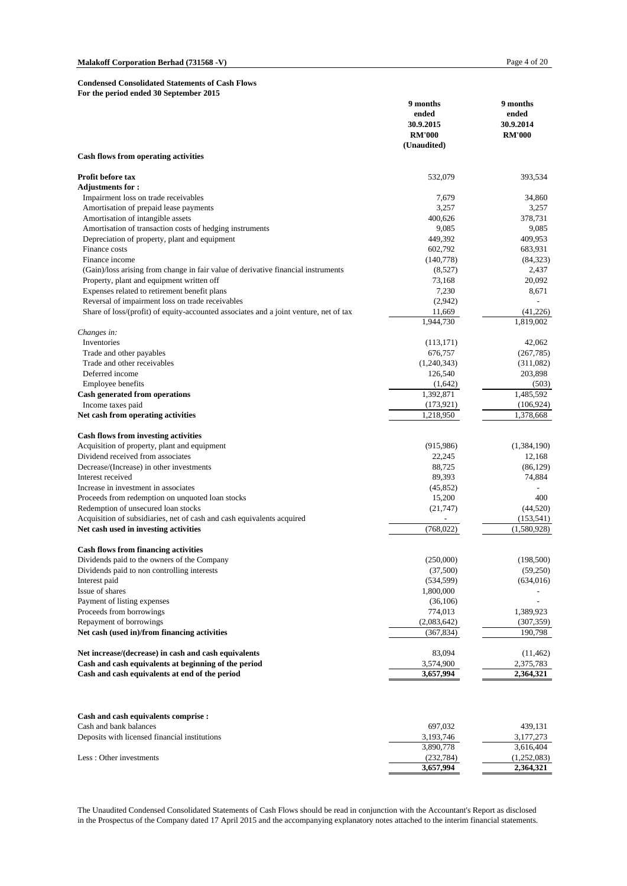#### **Condensed Consolidated Statements of Cash Flows For the period ended 30 September 2015**

|                                                                                       | 9 months<br>ended<br>30.9.2015<br><b>RM'000</b> | 9 months<br>ended<br>30.9.2014<br><b>RM'000</b> |
|---------------------------------------------------------------------------------------|-------------------------------------------------|-------------------------------------------------|
|                                                                                       | (Unaudited)                                     |                                                 |
| <b>Cash flows from operating activities</b>                                           |                                                 |                                                 |
| Profit before tax                                                                     | 532,079                                         | 393,534                                         |
| <b>Adjustments for :</b>                                                              |                                                 |                                                 |
| Impairment loss on trade receivables                                                  | 7,679                                           | 34,860                                          |
| Amortisation of prepaid lease payments                                                | 3,257                                           | 3,257                                           |
| Amortisation of intangible assets                                                     | 400,626                                         | 378,731                                         |
| Amortisation of transaction costs of hedging instruments                              | 9,085                                           | 9,085                                           |
| Depreciation of property, plant and equipment                                         | 449,392                                         | 409,953                                         |
| Finance costs                                                                         | 602,792                                         | 683,931                                         |
| Finance income                                                                        | (140,778)                                       | (84, 323)                                       |
| (Gain)/loss arising from change in fair value of derivative financial instruments     | (8,527)                                         | 2,437                                           |
| Property, plant and equipment written off                                             | 73,168                                          | 20,092                                          |
| Expenses related to retirement benefit plans                                          | 7,230                                           | 8,671                                           |
| Reversal of impairment loss on trade receivables                                      | (2,942)                                         |                                                 |
| Share of loss/(profit) of equity-accounted associates and a joint venture, net of tax | 11,669<br>1,944,730                             | (41,226)<br>1,819,002                           |
| Changes in:                                                                           |                                                 |                                                 |
| Inventories                                                                           | (113, 171)                                      | 42,062                                          |
| Trade and other payables                                                              | 676,757                                         | (267, 785)                                      |
| Trade and other receivables                                                           | (1,240,343)                                     | (311,082)                                       |
| Deferred income                                                                       | 126,540                                         | 203,898                                         |
| Employee benefits                                                                     | (1,642)                                         | (503)                                           |
| <b>Cash generated from operations</b>                                                 | 1,392,871                                       | 1,485,592                                       |
| Income taxes paid                                                                     | (173, 921)                                      | (106, 924)                                      |
| Net cash from operating activities                                                    | 1,218,950                                       | 1,378,668                                       |
|                                                                                       |                                                 |                                                 |
| <b>Cash flows from investing activities</b>                                           |                                                 |                                                 |
| Acquisition of property, plant and equipment                                          | (915, 986)                                      | (1, 384, 190)                                   |
| Dividend received from associates                                                     | 22,245                                          | 12,168                                          |
| Decrease/(Increase) in other investments                                              | 88,725                                          | (86, 129)                                       |
| Interest received<br>Increase in investment in associates                             | 89,393                                          | 74,884                                          |
| Proceeds from redemption on unquoted loan stocks                                      | (45, 852)                                       | 400                                             |
| Redemption of unsecured loan stocks                                                   | 15,200<br>(21, 747)                             | (44, 520)                                       |
| Acquisition of subsidiaries, net of cash and cash equivalents acquired                |                                                 |                                                 |
| Net cash used in investing activities                                                 | (768, 022)                                      | (153, 541)<br>(1,580,928)                       |
|                                                                                       |                                                 |                                                 |
| <b>Cash flows from financing activities</b>                                           |                                                 |                                                 |
| Dividends paid to the owners of the Company                                           | (250,000)                                       | (198, 500)                                      |
| Dividends paid to non controlling interests                                           | (37,500)                                        | (59,250)                                        |
| Interest paid                                                                         | (534, 599)                                      | (634, 016)                                      |
| Issue of shares                                                                       | 1,800,000                                       |                                                 |
| Payment of listing expenses<br>Proceeds from borrowings                               | (36,106)                                        |                                                 |
| Repayment of borrowings                                                               | 774,013                                         | 1,389,923                                       |
| Net cash (used in)/from financing activities                                          | (2,083,642)<br>(367, 834)                       | (307, 359)<br>190,798                           |
|                                                                                       |                                                 |                                                 |
| Net increase/(decrease) in cash and cash equivalents                                  | 83,094                                          | (11, 462)                                       |
| Cash and cash equivalents at beginning of the period                                  | 3,574,900                                       | 2,375,783                                       |
| Cash and cash equivalents at end of the period                                        | 3,657,994                                       | 2,364,321                                       |
| Cash and cash equivalents comprise :                                                  |                                                 |                                                 |
| Cash and bank balances                                                                | 697,032                                         | 439,131                                         |
| Deposits with licensed financial institutions                                         | 3,193,746                                       | 3,177,273                                       |
|                                                                                       | 3,890,778                                       | 3,616,404                                       |
| Less: Other investments                                                               | (232, 784)                                      | (1,252,083)                                     |
|                                                                                       | 3,657,994                                       | 2,364,321                                       |

The Unaudited Condensed Consolidated Statements of Cash Flows should be read in conjunction with the Accountant's Report as disclosed in the Prospectus of the Company dated 17 April 2015 and the accompanying explanatory notes attached to the interim financial statements.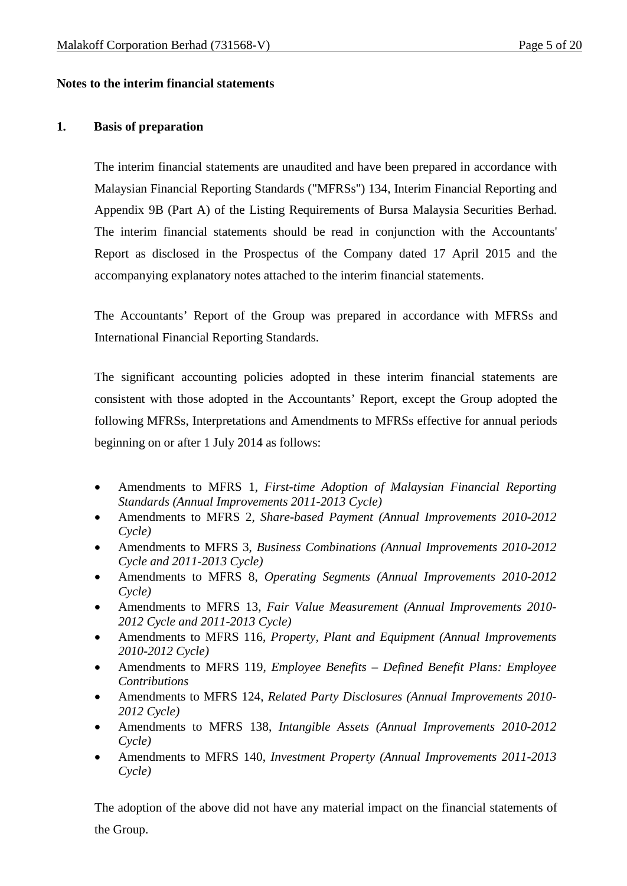# **Notes to the interim financial statements**

### **1. Basis of preparation**

The interim financial statements are unaudited and have been prepared in accordance with Malaysian Financial Reporting Standards ("MFRSs") 134, Interim Financial Reporting and Appendix 9B (Part A) of the Listing Requirements of Bursa Malaysia Securities Berhad. The interim financial statements should be read in conjunction with the Accountants' Report as disclosed in the Prospectus of the Company dated 17 April 2015 and the accompanying explanatory notes attached to the interim financial statements.

The Accountants' Report of the Group was prepared in accordance with MFRSs and International Financial Reporting Standards.

The significant accounting policies adopted in these interim financial statements are consistent with those adopted in the Accountants' Report, except the Group adopted the following MFRSs, Interpretations and Amendments to MFRSs effective for annual periods beginning on or after 1 July 2014 as follows:

- Amendments to MFRS 1, *First-time Adoption of Malaysian Financial Reporting Standards (Annual Improvements 2011-2013 Cycle)*
- Amendments to MFRS 2, *Share-based Payment (Annual Improvements 2010-2012 Cycle)*
- Amendments to MFRS 3, *Business Combinations (Annual Improvements 2010-2012 Cycle and 2011-2013 Cycle)*
- Amendments to MFRS 8, *Operating Segments (Annual Improvements 2010-2012 Cycle)*
- Amendments to MFRS 13, *Fair Value Measurement (Annual Improvements 2010- 2012 Cycle and 2011-2013 Cycle)*
- Amendments to MFRS 116, *Property, Plant and Equipment (Annual Improvements 2010-2012 Cycle)*
- Amendments to MFRS 119, *Employee Benefits – Defined Benefit Plans: Employee Contributions*
- Amendments to MFRS 124, *Related Party Disclosures (Annual Improvements 2010- 2012 Cycle)*
- Amendments to MFRS 138, *Intangible Assets (Annual Improvements 2010-2012 Cycle)*
- Amendments to MFRS 140, *Investment Property (Annual Improvements 2011-2013 Cycle)*

The adoption of the above did not have any material impact on the financial statements of the Group.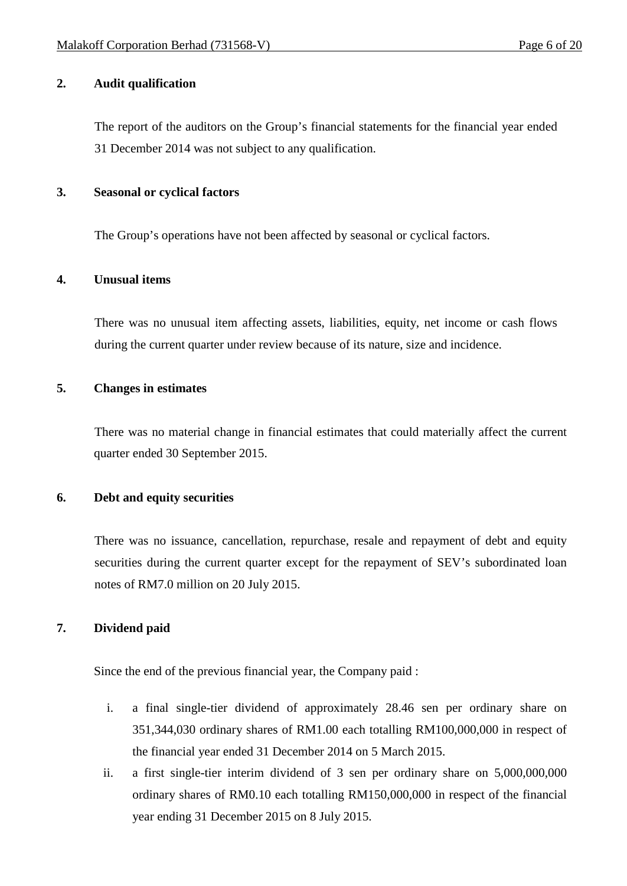# **2. Audit qualification**

The report of the auditors on the Group's financial statements for the financial year ended 31 December 2014 was not subject to any qualification.

### **3. Seasonal or cyclical factors**

The Group's operations have not been affected by seasonal or cyclical factors.

# **4. Unusual items**

There was no unusual item affecting assets, liabilities, equity, net income or cash flows during the current quarter under review because of its nature, size and incidence.

# **5. Changes in estimates**

There was no material change in financial estimates that could materially affect the current quarter ended 30 September 2015.

# **6. Debt and equity securities**

There was no issuance, cancellation, repurchase, resale and repayment of debt and equity securities during the current quarter except for the repayment of SEV's subordinated loan notes of RM7.0 million on 20 July 2015.

# **7. Dividend paid**

Since the end of the previous financial year, the Company paid :

- i. a final single-tier dividend of approximately 28.46 sen per ordinary share on 351,344,030 ordinary shares of RM1.00 each totalling RM100,000,000 in respect of the financial year ended 31 December 2014 on 5 March 2015.
- ii. a first single-tier interim dividend of 3 sen per ordinary share on 5,000,000,000 ordinary shares of RM0.10 each totalling RM150,000,000 in respect of the financial year ending 31 December 2015 on 8 July 2015.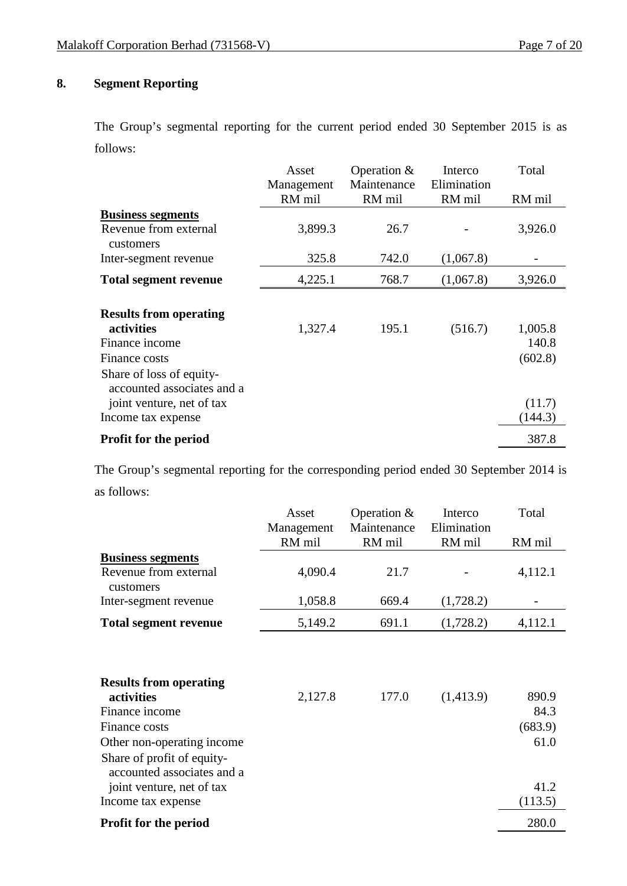# **8. Segment Reporting**

The Group's segmental reporting for the current period ended 30 September 2015 is as follows:

|                                                        | Asset      | Operation $&$ | Interco     | Total   |
|--------------------------------------------------------|------------|---------------|-------------|---------|
|                                                        | Management | Maintenance   | Elimination |         |
|                                                        | RM mil     | RM mil        | RM mil      | RM mil  |
| <b>Business segments</b>                               |            |               |             |         |
| Revenue from external                                  | 3,899.3    | 26.7          |             | 3,926.0 |
| customers                                              |            |               |             |         |
| Inter-segment revenue                                  | 325.8      | 742.0         | (1,067.8)   |         |
| <b>Total segment revenue</b>                           | 4,225.1    | 768.7         | (1,067.8)   | 3,926.0 |
|                                                        |            |               |             |         |
| <b>Results from operating</b>                          |            |               |             |         |
| activities                                             | 1,327.4    | 195.1         | (516.7)     | 1,005.8 |
| Finance income                                         |            |               |             | 140.8   |
| Finance costs                                          |            |               |             | (602.8) |
| Share of loss of equity-<br>accounted associates and a |            |               |             |         |
| joint venture, net of tax                              |            |               |             | (11.7)  |
| Income tax expense                                     |            |               |             | (144.3) |
| <b>Profit for the period</b>                           |            |               |             | 387.8   |

The Group's segmental reporting for the corresponding period ended 30 September 2014 is as follows:

|                                                                                                                                                                          | Asset                | Operation $\&$        | Interco               | Total                            |
|--------------------------------------------------------------------------------------------------------------------------------------------------------------------------|----------------------|-----------------------|-----------------------|----------------------------------|
|                                                                                                                                                                          | Management<br>RM mil | Maintenance<br>RM mil | Elimination<br>RM mil | RM mil                           |
|                                                                                                                                                                          |                      |                       |                       |                                  |
| <b>Business segments</b><br>Revenue from external                                                                                                                        | 4,090.4              | 21.7                  |                       | 4,112.1                          |
| customers                                                                                                                                                                |                      |                       |                       |                                  |
| Inter-segment revenue                                                                                                                                                    | 1,058.8              | 669.4                 | (1,728.2)             |                                  |
| <b>Total segment revenue</b>                                                                                                                                             | 5,149.2              | 691.1                 | (1,728.2)             | 4,112.1                          |
| <b>Results from operating</b><br>activities<br>Finance income<br>Finance costs<br>Other non-operating income<br>Share of profit of equity-<br>accounted associates and a | 2,127.8              | 177.0                 | (1,413.9)             | 890.9<br>84.3<br>(683.9)<br>61.0 |
| joint venture, net of tax<br>Income tax expense                                                                                                                          |                      |                       |                       | 41.2<br>(113.5)                  |
|                                                                                                                                                                          |                      |                       |                       |                                  |
| <b>Profit for the period</b>                                                                                                                                             |                      |                       |                       | 280.0                            |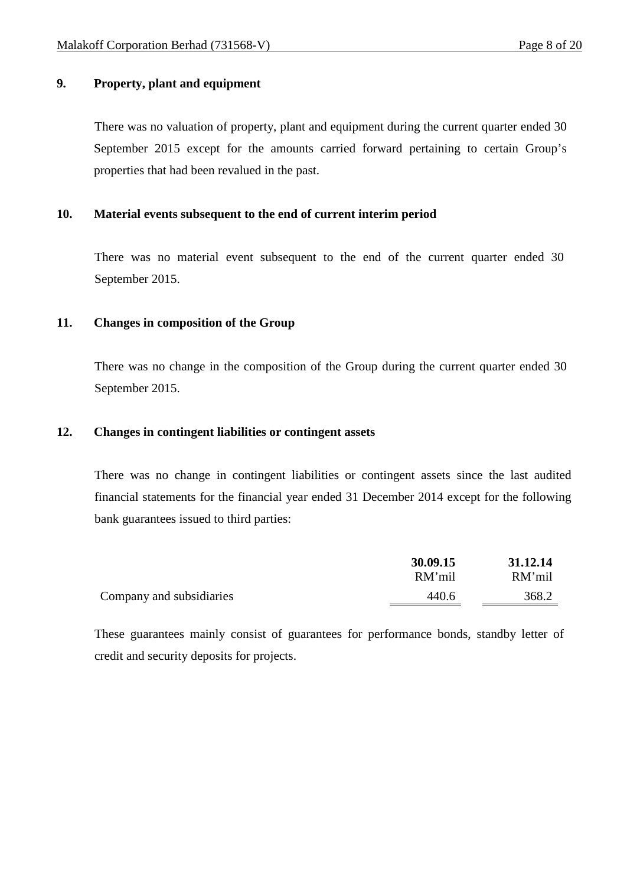# **9. Property, plant and equipment**

There was no valuation of property, plant and equipment during the current quarter ended 30 September 2015 except for the amounts carried forward pertaining to certain Group's properties that had been revalued in the past.

# **10. Material events subsequent to the end of current interim period**

There was no material event subsequent to the end of the current quarter ended 30 September 2015.

# **11. Changes in composition of the Group**

There was no change in the composition of the Group during the current quarter ended 30 September 2015.

### **12. Changes in contingent liabilities or contingent assets**

There was no change in contingent liabilities or contingent assets since the last audited financial statements for the financial year ended 31 December 2014 except for the following bank guarantees issued to third parties:

|                          | 30.09.15 | 31.12.14 |
|--------------------------|----------|----------|
|                          | RM'mil   | RM'mil   |
| Company and subsidiaries | 440.6    | 368.2    |

These guarantees mainly consist of guarantees for performance bonds, standby letter of credit and security deposits for projects.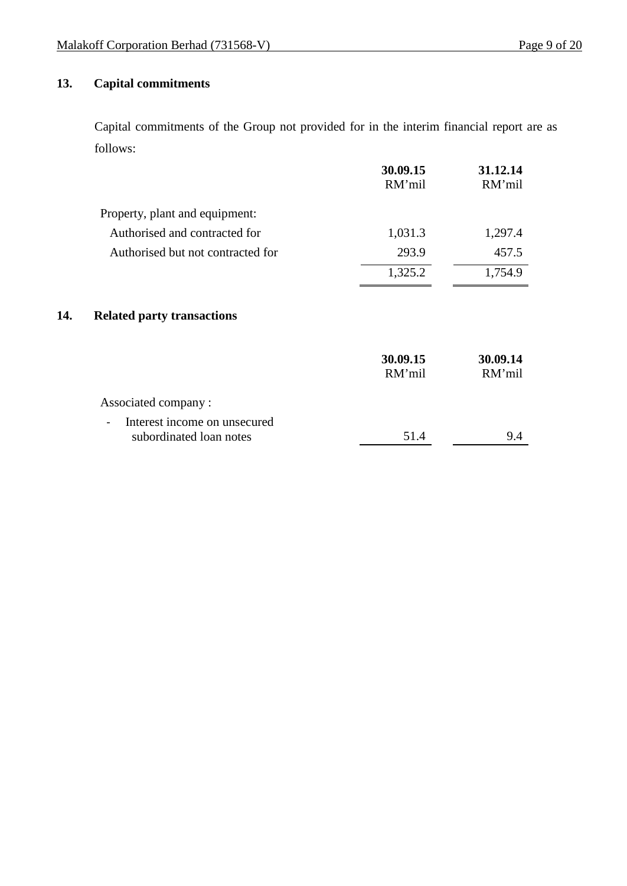# **13. Capital commitments**

Capital commitments of the Group not provided for in the interim financial report are as follows:

|     |                                                                                     | 30.09.15           | 31.12.14           |
|-----|-------------------------------------------------------------------------------------|--------------------|--------------------|
|     |                                                                                     | RM'mil             | RM'mil             |
|     | Property, plant and equipment:                                                      |                    |                    |
|     | Authorised and contracted for                                                       | 1,031.3            | 1,297.4            |
|     | Authorised but not contracted for                                                   | 293.9              | 457.5              |
|     |                                                                                     | 1,325.2            | 1,754.9            |
| 14. | <b>Related party transactions</b>                                                   |                    |                    |
|     |                                                                                     | 30.09.15<br>RM'mil | 30.09.14<br>RM'mil |
|     | Associated company:                                                                 |                    |                    |
|     | Interest income on unsecured<br>$\overline{\phantom{a}}$<br>subordinated loan notes | 51.4               | 9.4                |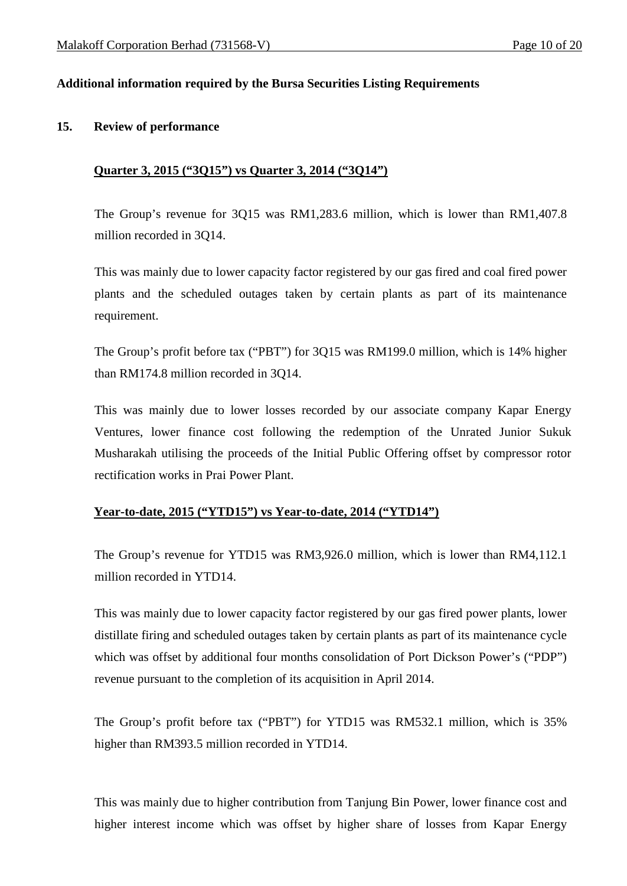# **Additional information required by the Bursa Securities Listing Requirements**

### **15. Review of performance**

### **Quarter 3, 2015 ("3Q15") vs Quarter 3, 2014 ("3Q14")**

The Group's revenue for 3Q15 was RM1,283.6 million, which is lower than RM1,407.8 million recorded in 3Q14.

This was mainly due to lower capacity factor registered by our gas fired and coal fired power plants and the scheduled outages taken by certain plants as part of its maintenance requirement.

The Group's profit before tax ("PBT") for 3Q15 was RM199.0 million, which is 14% higher than RM174.8 million recorded in 3Q14.

This was mainly due to lower losses recorded by our associate company Kapar Energy Ventures, lower finance cost following the redemption of the Unrated Junior Sukuk Musharakah utilising the proceeds of the Initial Public Offering offset by compressor rotor rectification works in Prai Power Plant.

### **Year-to-date, 2015 ("YTD15") vs Year-to-date, 2014 ("YTD14")**

The Group's revenue for YTD15 was RM3,926.0 million, which is lower than RM4,112.1 million recorded in YTD14.

This was mainly due to lower capacity factor registered by our gas fired power plants, lower distillate firing and scheduled outages taken by certain plants as part of its maintenance cycle which was offset by additional four months consolidation of Port Dickson Power's ("PDP") revenue pursuant to the completion of its acquisition in April 2014.

The Group's profit before tax ("PBT") for YTD15 was RM532.1 million, which is 35% higher than RM393.5 million recorded in YTD14.

This was mainly due to higher contribution from Tanjung Bin Power, lower finance cost and higher interest income which was offset by higher share of losses from Kapar Energy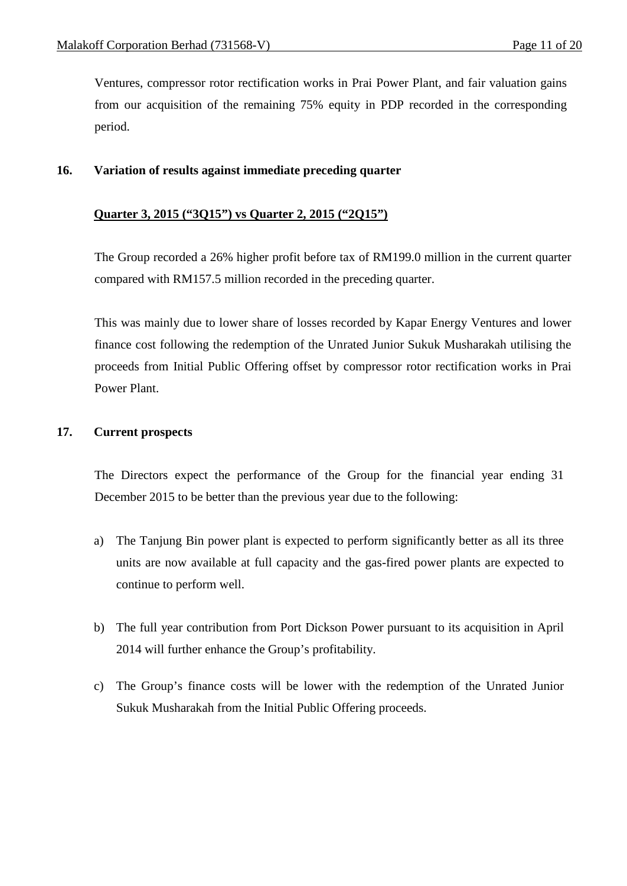Ventures, compressor rotor rectification works in Prai Power Plant, and fair valuation gains from our acquisition of the remaining 75% equity in PDP recorded in the corresponding period.

# **16. Variation of results against immediate preceding quarter**

### **Quarter 3, 2015 ("3Q15") vs Quarter 2, 2015 ("2Q15")**

The Group recorded a 26% higher profit before tax of RM199.0 million in the current quarter compared with RM157.5 million recorded in the preceding quarter.

This was mainly due to lower share of losses recorded by Kapar Energy Ventures and lower finance cost following the redemption of the Unrated Junior Sukuk Musharakah utilising the proceeds from Initial Public Offering offset by compressor rotor rectification works in Prai Power Plant.

# **17. Current prospects**

The Directors expect the performance of the Group for the financial year ending 31 December 2015 to be better than the previous year due to the following:

- a) The Tanjung Bin power plant is expected to perform significantly better as all its three units are now available at full capacity and the gas-fired power plants are expected to continue to perform well.
- b) The full year contribution from Port Dickson Power pursuant to its acquisition in April 2014 will further enhance the Group's profitability.
- c) The Group's finance costs will be lower with the redemption of the Unrated Junior Sukuk Musharakah from the Initial Public Offering proceeds.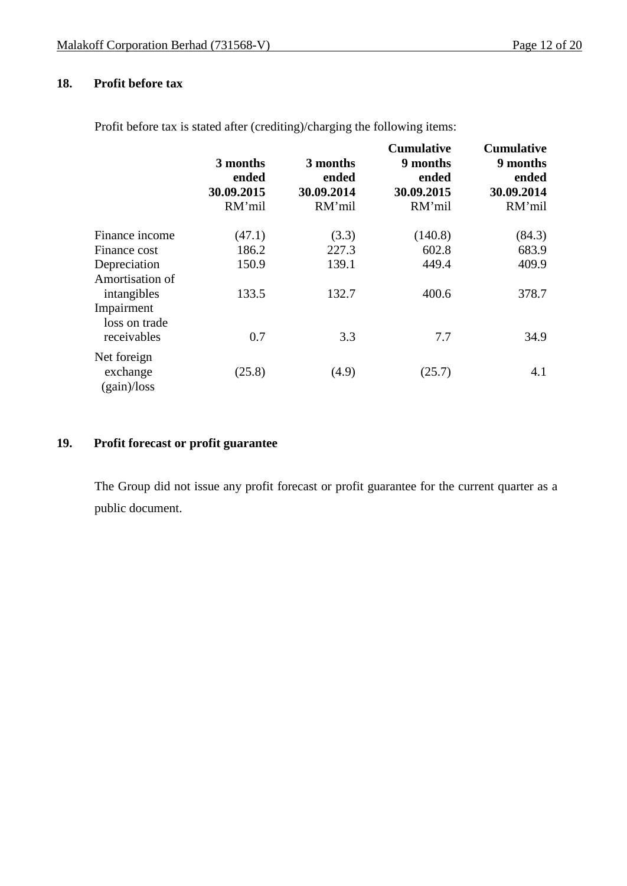# **18. Profit before tax**

|                                            | 3 months<br>ended<br>30.09.2015<br>RM'mil | 3 months<br>ended<br>30.09.2014<br>RM'mil | <b>Cumulative</b><br>9 months<br>ended<br>30.09.2015<br>RM'mil | <b>Cumulative</b><br>9 months<br>ended<br>30.09.2014<br>RM'mil |
|--------------------------------------------|-------------------------------------------|-------------------------------------------|----------------------------------------------------------------|----------------------------------------------------------------|
| Finance income                             | (47.1)                                    | (3.3)                                     | (140.8)                                                        | (84.3)                                                         |
| Finance cost                               | 186.2                                     | 227.3                                     | 602.8                                                          | 683.9                                                          |
| Depreciation<br>Amortisation of            | 150.9                                     | 139.1                                     | 449.4                                                          | 409.9                                                          |
| intangibles<br>Impairment<br>loss on trade | 133.5                                     | 132.7                                     | 400.6                                                          | 378.7                                                          |
| receivables                                | 0.7                                       | 3.3                                       | 7.7                                                            | 34.9                                                           |
| Net foreign<br>exchange<br>(gain)/loss     | (25.8)                                    | (4.9)                                     | (25.7)                                                         | 4.1                                                            |

Profit before tax is stated after (crediting)/charging the following items:

# **19. Profit forecast or profit guarantee**

The Group did not issue any profit forecast or profit guarantee for the current quarter as a public document.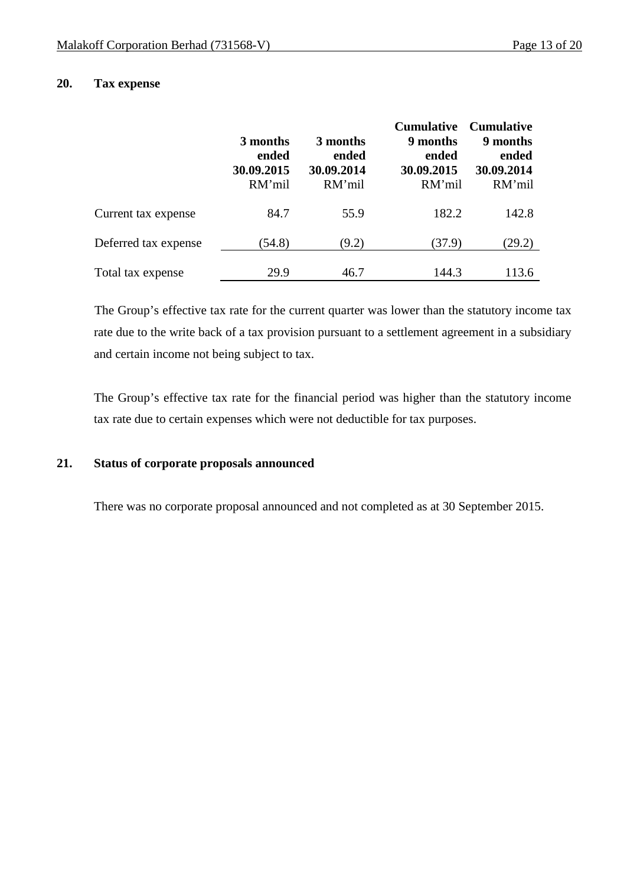# **20. Tax expense**

|                      | 3 months<br>ended<br>30.09.2015<br>RM'mil | 3 months<br>ended<br>30.09.2014<br>RM'mil | <b>Cumulative</b><br>9 months<br>ended<br>30.09.2015<br>RM'mil | <b>Cumulative</b><br>9 months<br>ended<br>30.09.2014<br>RM'mil |
|----------------------|-------------------------------------------|-------------------------------------------|----------------------------------------------------------------|----------------------------------------------------------------|
| Current tax expense  | 84.7                                      | 55.9                                      | 182.2                                                          | 142.8                                                          |
| Deferred tax expense | (54.8)                                    | (9.2)                                     | (37.9)                                                         | (29.2)                                                         |
| Total tax expense    | 29.9                                      | 46.7                                      | 144.3                                                          | 113.6                                                          |

The Group's effective tax rate for the current quarter was lower than the statutory income tax rate due to the write back of a tax provision pursuant to a settlement agreement in a subsidiary and certain income not being subject to tax.

The Group's effective tax rate for the financial period was higher than the statutory income tax rate due to certain expenses which were not deductible for tax purposes.

### **21. Status of corporate proposals announced**

There was no corporate proposal announced and not completed as at 30 September 2015.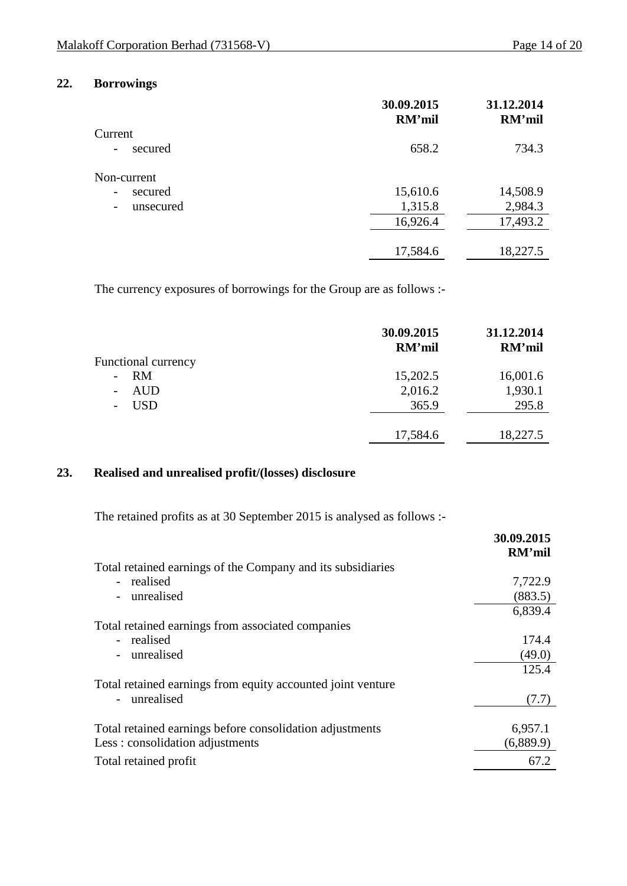# **22. Borrowings**

|                                     | 30.09.2015<br>RM'mil | 31.12.2014<br>RM'mil |
|-------------------------------------|----------------------|----------------------|
| Current                             |                      |                      |
| secured<br>$\overline{\phantom{0}}$ | 658.2                | 734.3                |
| Non-current                         |                      |                      |
| secured<br>$\overline{\phantom{0}}$ | 15,610.6             | 14,508.9             |
| unsecured<br>-                      | 1,315.8              | 2,984.3              |
|                                     | 16,926.4             | 17,493.2             |
|                                     | 17,584.6             | 18,227.5             |
|                                     |                      |                      |

The currency exposures of borrowings for the Group are as follows :-

|                            | 30.09.2015<br>RM'mil | 31.12.2014<br>RM'mil |
|----------------------------|----------------------|----------------------|
| <b>Functional currency</b> |                      |                      |
| RM<br>-                    | 15,202.5             | 16,001.6             |
| <b>AUD</b>                 | 2,016.2              | 1,930.1              |
| <b>USD</b>                 | 365.9                | 295.8                |
|                            |                      |                      |
|                            | 17,584.6             | 18,227.5             |
|                            |                      |                      |

# **23. Realised and unrealised profit/(losses) disclosure**

The retained profits as at 30 September 2015 is analysed as follows :-

| 30.09.2015 |
|------------|
| RM'mil     |
|            |
| 7,722.9    |
| (883.5)    |
| 6,839.4    |
|            |
| 174.4      |
| (49.0)     |
| 125.4      |
|            |
| (7.7)      |
|            |
| 6,957.1    |
| (6,889.9)  |
| 67.2       |
|            |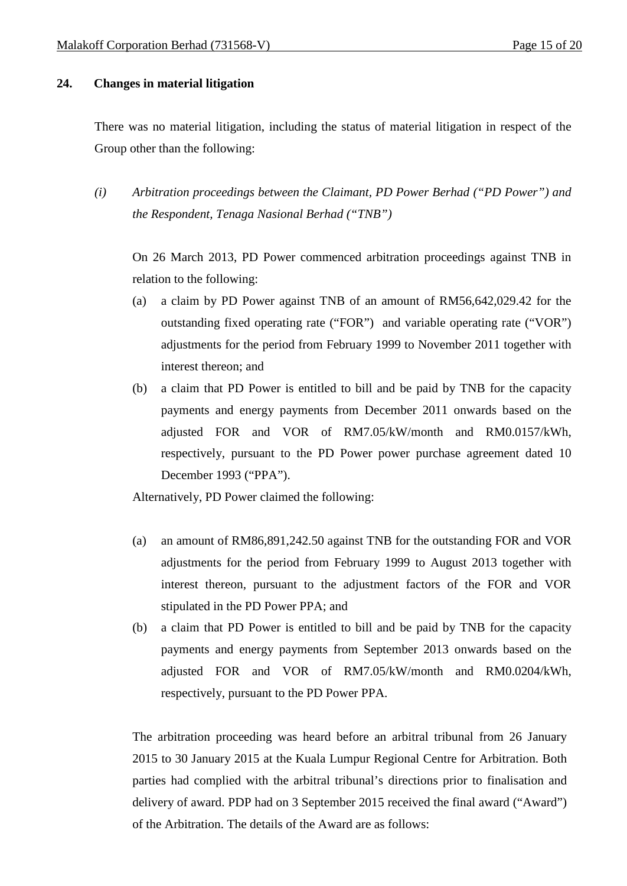# **24. Changes in material litigation**

There was no material litigation, including the status of material litigation in respect of the Group other than the following:

*(i) Arbitration proceedings between the Claimant, PD Power Berhad ("PD Power") and the Respondent, Tenaga Nasional Berhad ("TNB")*

On 26 March 2013, PD Power commenced arbitration proceedings against TNB in relation to the following:

- (a) a claim by PD Power against TNB of an amount of RM56,642,029.42 for the outstanding fixed operating rate ("FOR") and variable operating rate ("VOR") adjustments for the period from February 1999 to November 2011 together with interest thereon; and
- (b) a claim that PD Power is entitled to bill and be paid by TNB for the capacity payments and energy payments from December 2011 onwards based on the adjusted FOR and VOR of RM7.05/kW/month and RM0.0157/kWh, respectively, pursuant to the PD Power power purchase agreement dated 10 December 1993 ("PPA").

Alternatively, PD Power claimed the following:

- (a) an amount of RM86,891,242.50 against TNB for the outstanding FOR and VOR adjustments for the period from February 1999 to August 2013 together with interest thereon, pursuant to the adjustment factors of the FOR and VOR stipulated in the PD Power PPA; and
- (b) a claim that PD Power is entitled to bill and be paid by TNB for the capacity payments and energy payments from September 2013 onwards based on the adjusted FOR and VOR of RM7.05/kW/month and RM0.0204/kWh, respectively, pursuant to the PD Power PPA.

The arbitration proceeding was heard before an arbitral tribunal from 26 January 2015 to 30 January 2015 at the Kuala Lumpur Regional Centre for Arbitration. Both parties had complied with the arbitral tribunal's directions prior to finalisation and delivery of award. PDP had on 3 September 2015 received the final award ("Award") of the Arbitration. The details of the Award are as follows: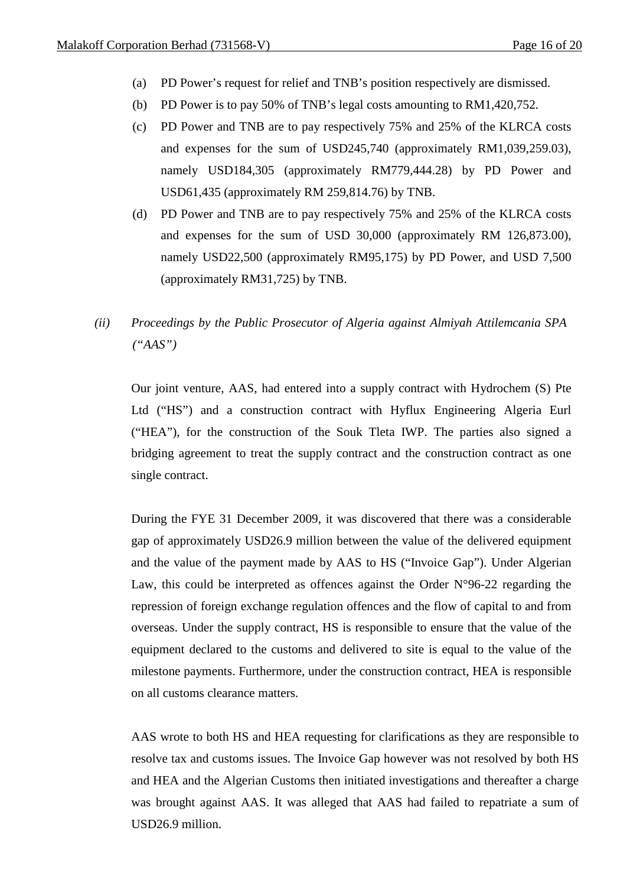- (a) PD Power's request for relief and TNB's position respectively are dismissed.
- (b) PD Power is to pay 50% of TNB's legal costs amounting to RM1,420,752.
- (c) PD Power and TNB are to pay respectively 75% and 25% of the KLRCA costs and expenses for the sum of USD245,740 (approximately RM1,039,259.03), namely USD184,305 (approximately RM779,444.28) by PD Power and USD61,435 (approximately RM 259,814.76) by TNB.
- (d) PD Power and TNB are to pay respectively 75% and 25% of the KLRCA costs and expenses for the sum of USD 30,000 (approximately RM 126,873.00), namely USD22,500 (approximately RM95,175) by PD Power, and USD 7,500 (approximately RM31,725) by TNB.
- *(ii) Proceedings by the Public Prosecutor of Algeria against Almiyah Attilemcania SPA ("AAS")*

Our joint venture, AAS, had entered into a supply contract with Hydrochem (S) Pte Ltd ("HS") and a construction contract with Hyflux Engineering Algeria Eurl ("HEA"), for the construction of the Souk Tleta IWP. The parties also signed a bridging agreement to treat the supply contract and the construction contract as one single contract.

During the FYE 31 December 2009, it was discovered that there was a considerable gap of approximately USD26.9 million between the value of the delivered equipment and the value of the payment made by AAS to HS ("Invoice Gap"). Under Algerian Law, this could be interpreted as offences against the Order  $N^{\circ}96-22$  regarding the repression of foreign exchange regulation offences and the flow of capital to and from overseas. Under the supply contract, HS is responsible to ensure that the value of the equipment declared to the customs and delivered to site is equal to the value of the milestone payments. Furthermore, under the construction contract, HEA is responsible on all customs clearance matters.

AAS wrote to both HS and HEA requesting for clarifications as they are responsible to resolve tax and customs issues. The Invoice Gap however was not resolved by both HS and HEA and the Algerian Customs then initiated investigations and thereafter a charge was brought against AAS. It was alleged that AAS had failed to repatriate a sum of USD26.9 million.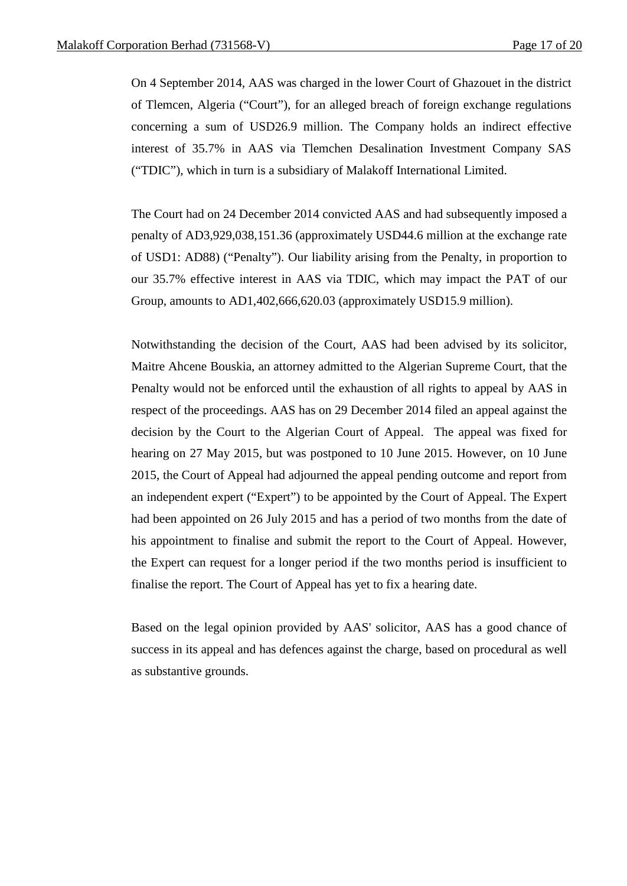On 4 September 2014, AAS was charged in the lower Court of Ghazouet in the district of Tlemcen, Algeria ("Court"), for an alleged breach of foreign exchange regulations concerning a sum of USD26.9 million. The Company holds an indirect effective interest of 35.7% in AAS via Tlemchen Desalination Investment Company SAS ("TDIC"), which in turn is a subsidiary of Malakoff International Limited.

The Court had on 24 December 2014 convicted AAS and had subsequently imposed a penalty of AD3,929,038,151.36 (approximately USD44.6 million at the exchange rate of USD1: AD88) ("Penalty"). Our liability arising from the Penalty, in proportion to our 35.7% effective interest in AAS via TDIC, which may impact the PAT of our Group, amounts to AD1,402,666,620.03 (approximately USD15.9 million).

Notwithstanding the decision of the Court, AAS had been advised by its solicitor, Maitre Ahcene Bouskia, an attorney admitted to the Algerian Supreme Court, that the Penalty would not be enforced until the exhaustion of all rights to appeal by AAS in respect of the proceedings. AAS has on 29 December 2014 filed an appeal against the decision by the Court to the Algerian Court of Appeal. The appeal was fixed for hearing on 27 May 2015, but was postponed to 10 June 2015. However, on 10 June 2015, the Court of Appeal had adjourned the appeal pending outcome and report from an independent expert ("Expert") to be appointed by the Court of Appeal. The Expert had been appointed on 26 July 2015 and has a period of two months from the date of his appointment to finalise and submit the report to the Court of Appeal. However, the Expert can request for a longer period if the two months period is insufficient to finalise the report. The Court of Appeal has yet to fix a hearing date.

Based on the legal opinion provided by AAS' solicitor, AAS has a good chance of success in its appeal and has defences against the charge, based on procedural as well as substantive grounds.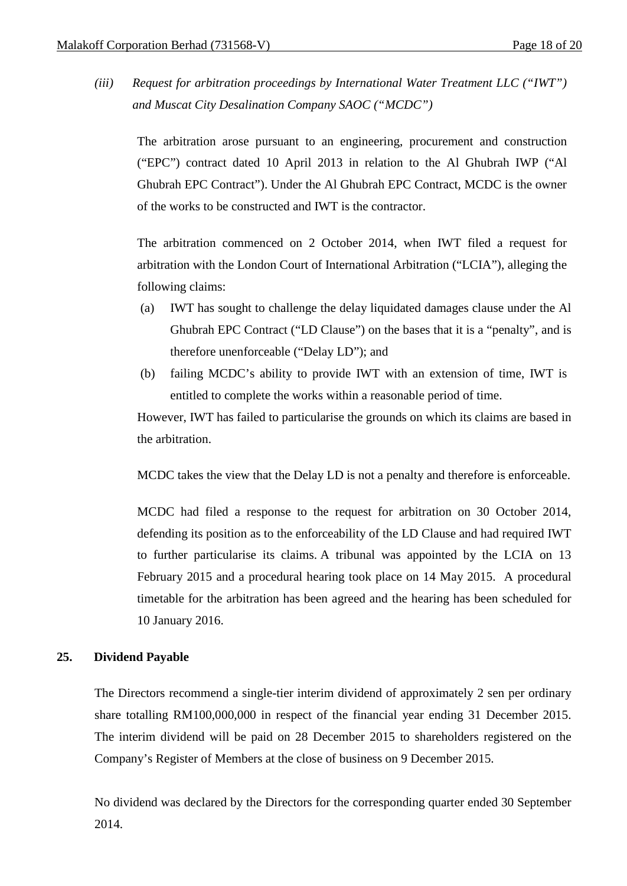*(iii) Request for arbitration proceedings by International Water Treatment LLC ("IWT") and Muscat City Desalination Company SAOC ("MCDC")*

The arbitration arose pursuant to an engineering, procurement and construction ("EPC") contract dated 10 April 2013 in relation to the Al Ghubrah IWP ("Al Ghubrah EPC Contract"). Under the Al Ghubrah EPC Contract, MCDC is the owner of the works to be constructed and IWT is the contractor.

The arbitration commenced on 2 October 2014, when IWT filed a request for arbitration with the London Court of International Arbitration ("LCIA"), alleging the following claims:

- (a) IWT has sought to challenge the delay liquidated damages clause under the Al Ghubrah EPC Contract ("LD Clause") on the bases that it is a "penalty", and is therefore unenforceable ("Delay LD"); and
- (b) failing MCDC's ability to provide IWT with an extension of time, IWT is entitled to complete the works within a reasonable period of time.

However, IWT has failed to particularise the grounds on which its claims are based in the arbitration.

MCDC takes the view that the Delay LD is not a penalty and therefore is enforceable.

MCDC had filed a response to the request for arbitration on 30 October 2014, defending its position as to the enforceability of the LD Clause and had required IWT to further particularise its claims. A tribunal was appointed by the LCIA on 13 February 2015 and a procedural hearing took place on 14 May 2015. A procedural timetable for the arbitration has been agreed and the hearing has been scheduled for 10 January 2016.

### **25. Dividend Payable**

The Directors recommend a single-tier interim dividend of approximately 2 sen per ordinary share totalling RM100,000,000 in respect of the financial year ending 31 December 2015. The interim dividend will be paid on 28 December 2015 to shareholders registered on the Company's Register of Members at the close of business on 9 December 2015.

No dividend was declared by the Directors for the corresponding quarter ended 30 September 2014.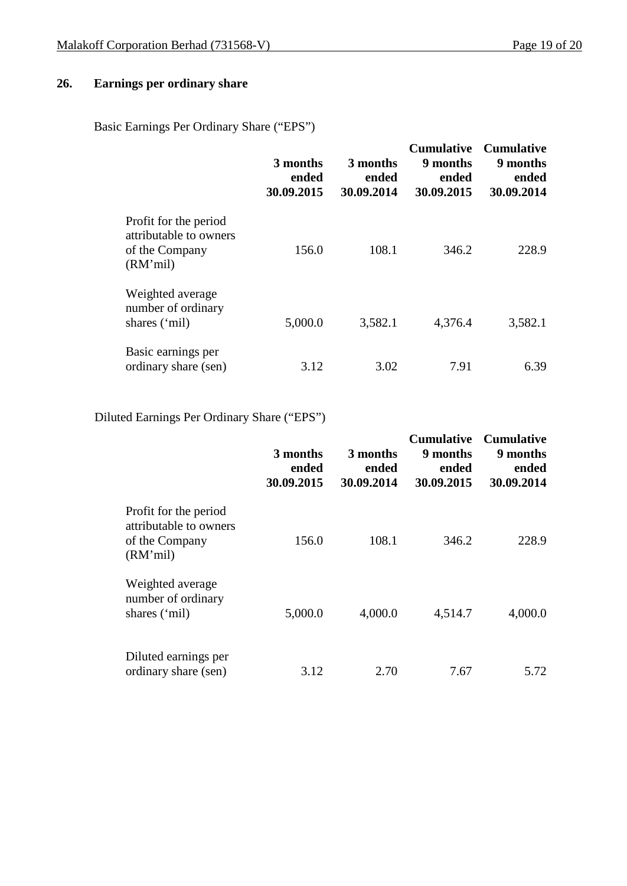# **26. Earnings per ordinary share**

Basic Earnings Per Ordinary Share ("EPS")

|                                                                               | 3 months<br>ended<br>30.09.2015 | 3 months<br>ended<br>30.09.2014 | <b>Cumulative</b><br>9 months<br>ended<br>30.09.2015 | <b>Cumulative</b><br>9 months<br>ended<br>30.09.2014 |
|-------------------------------------------------------------------------------|---------------------------------|---------------------------------|------------------------------------------------------|------------------------------------------------------|
| Profit for the period<br>attributable to owners<br>of the Company<br>(RM'mil) | 156.0                           | 108.1                           | 346.2                                                | 228.9                                                |
| Weighted average<br>number of ordinary<br>shares ('mil)                       | 5,000.0                         | 3,582.1                         | 4,376.4                                              | 3,582.1                                              |
| Basic earnings per<br>ordinary share (sen)                                    | 3.12                            | 3.02                            | 7.91                                                 | 6.39                                                 |

# Diluted Earnings Per Ordinary Share ("EPS")

|                                                                               | 3 months<br>ended<br>30.09.2015 | 3 months<br>ended<br>30.09.2014 | <b>Cumulative</b><br>9 months<br>ended<br>30.09.2015 | <b>Cumulative</b><br>9 months<br>ended<br>30.09.2014 |
|-------------------------------------------------------------------------------|---------------------------------|---------------------------------|------------------------------------------------------|------------------------------------------------------|
| Profit for the period<br>attributable to owners<br>of the Company<br>(RM'mil) | 156.0                           | 108.1                           | 346.2                                                | 228.9                                                |
| Weighted average<br>number of ordinary<br>shares ('mil)                       | 5,000.0                         | 4,000.0                         | 4,514.7                                              | 4,000.0                                              |
| Diluted earnings per<br>ordinary share (sen)                                  | 3.12                            | 2.70                            | 7.67                                                 | 5.72                                                 |